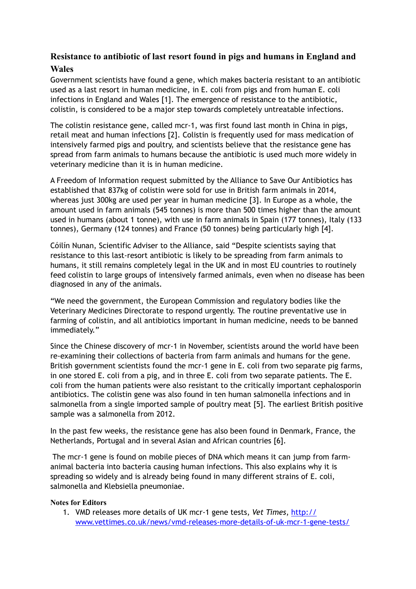## **Resistance to antibiotic of last resort found in pigs and humans in England and Wales**

Government scientists have found a gene, which makes bacteria resistant to an antibiotic used as a last resort in human medicine, in E. coli from pigs and from human E. coli infections in England and Wales [1]. The emergence of resistance to the antibiotic, colistin, is considered to be a major step towards completely untreatable infections.

The colistin resistance gene, called mcr-1, was first found last month in China in pigs, retail meat and human infections [2]. Colistin is frequently used for mass medication of intensively farmed pigs and poultry, and scientists believe that the resistance gene has spread from farm animals to humans because the antibiotic is used much more widely in veterinary medicine than it is in human medicine.

A Freedom of Information request submitted by the Alliance to Save Our Antibiotics has established that 837kg of colistin were sold for use in British farm animals in 2014, whereas just 300kg are used per year in human medicine [3]. In Europe as a whole, the amount used in farm animals (545 tonnes) is more than 500 times higher than the amount used in humans (about 1 tonne), with use in farm animals in Spain (177 tonnes), Italy (133 tonnes), Germany (124 tonnes) and France (50 tonnes) being particularly high [4].

Cóilín Nunan, Scientific Adviser to the Alliance, said "Despite scientists saying that resistance to this last-resort antibiotic is likely to be spreading from farm animals to humans, it still remains completely legal in the UK and in most EU countries to routinely feed colistin to large groups of intensively farmed animals, even when no disease has been diagnosed in any of the animals.

"We need the government, the European Commission and regulatory bodies like the Veterinary Medicines Directorate to respond urgently. The routine preventative use in farming of colistin, and all antibiotics important in human medicine, needs to be banned immediately."

Since the Chinese discovery of mcr-1 in November, scientists around the world have been re-examining their collections of bacteria from farm animals and humans for the gene. British government scientists found the mcr-1 gene in E. coli from two separate pig farms, in one stored E. coli from a pig, and in three E. coli from two separate patients. The E. coli from the human patients were also resistant to the critically important cephalosporin antibiotics. The colistin gene was also found in ten human salmonella infections and in salmonella from a single imported sample of poultry meat [5]. The earliest British positive sample was a salmonella from 2012.

In the past few weeks, the resistance gene has also been found in Denmark, France, the Netherlands, Portugal and in several Asian and African countries [6].

 The mcr-1 gene is found on mobile pieces of DNA which means it can jump from farmanimal bacteria into bacteria causing human infections. This also explains why it is spreading so widely and is already being found in many different strains of E. coli, salmonella and Klebsiella pneumoniae.

## **Notes for Editors**

1. VMD releases more details of UK mcr-1 gene tests, *Vet Times*, http:// [www.vettimes.co.uk/news/vmd-releases-more-details-of-uk-mcr-1-gene-tests/](http://www.vettimes.co.uk/news/vmd-releases-more-details-of-uk-mcr-1-gene-tests/)